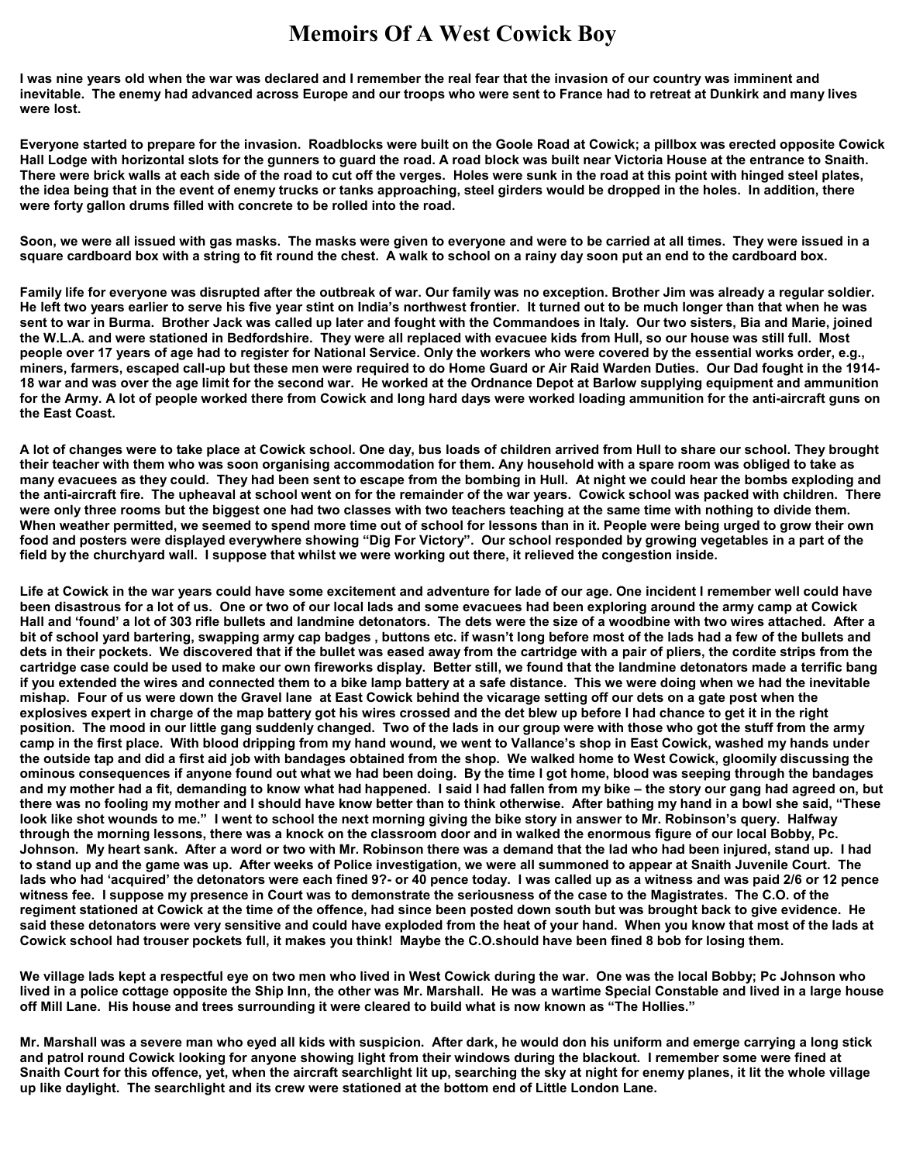## **Memoirs Of A West Cowick Boy**

**I was nine years old when the war was declared and I remember the real fear that the invasion of our country was imminent and inevitable. The enemy had advanced across Europe and our troops who were sent to France had to retreat at Dunkirk and many lives were lost.** 

**Everyone started to prepare for the invasion. Roadblocks were built on the Goole Road at Cowick; a pillbox was erected opposite Cowick Hall Lodge with horizontal slots for the gunners to guard the road. A road block was built near Victoria House at the entrance to Snaith. There were brick walls at each side of the road to cut off the verges. Holes were sunk in the road at this point with hinged steel plates, the idea being that in the event of enemy trucks or tanks approaching, steel girders would be dropped in the holes. In addition, there were forty gallon drums filled with concrete to be rolled into the road.** 

**Soon, we were all issued with gas masks. The masks were given to everyone and were to be carried at all times. They were issued in a square cardboard box with a string to fit round the chest. A walk to school on a rainy day soon put an end to the cardboard box.** 

**Family life for everyone was disrupted after the outbreak of war. Our family was no exception. Brother Jim was already a regular soldier. He left two years earlier to serve his five year stint on India's northwest frontier. It turned out to be much longer than that when he was sent to war in Burma. Brother Jack was called up later and fought with the Commandoes in Italy. Our two sisters, Bia and Marie, joined the W.L.A. and were stationed in Bedfordshire. They were all replaced with evacuee kids from Hull, so our house was still full. Most people over 17 years of age had to register for National Service. Only the workers who were covered by the essential works order, e.g., miners, farmers, escaped call-up but these men were required to do Home Guard or Air Raid Warden Duties. Our Dad fought in the 1914- 18 war and was over the age limit for the second war. He worked at the Ordnance Depot at Barlow supplying equipment and ammunition for the Army. A lot of people worked there from Cowick and long hard days were worked loading ammunition for the anti-aircraft guns on the East Coast.** 

**A lot of changes were to take place at Cowick school. One day, bus loads of children arrived from Hull to share our school. They brought their teacher with them who was soon organising accommodation for them. Any household with a spare room was obliged to take as many evacuees as they could. They had been sent to escape from the bombing in Hull. At night we could hear the bombs exploding and the anti-aircraft fire. The upheaval at school went on for the remainder of the war years. Cowick school was packed with children. There were only three rooms but the biggest one had two classes with two teachers teaching at the same time with nothing to divide them. When weather permitted, we seemed to spend more time out of school for lessons than in it. People were being urged to grow their own food and posters were displayed everywhere showing "Dig For Victory". Our school responded by growing vegetables in a part of the field by the churchyard wall. I suppose that whilst we were working out there, it relieved the congestion inside.** 

**Life at Cowick in the war years could have some excitement and adventure for lade of our age. One incident I remember well could have been disastrous for a lot of us. One or two of our local lads and some evacuees had been exploring around the army camp at Cowick Hall and 'found' a lot of 303 rifle bullets and landmine detonators. The dets were the size of a woodbine with two wires attached. After a bit of school yard bartering, swapping army cap badges , buttons etc. if wasn't long before most of the lads had a few of the bullets and dets in their pockets. We discovered that if the bullet was eased away from the cartridge with a pair of pliers, the cordite strips from the cartridge case could be used to make our own fireworks display. Better still, we found that the landmine detonators made a terrific bang if you extended the wires and connected them to a bike lamp battery at a safe distance. This we were doing when we had the inevitable mishap. Four of us were down the Gravel lane at East Cowick behind the vicarage setting off our dets on a gate post when the explosives expert in charge of the map battery got his wires crossed and the det blew up before I had chance to get it in the right position. The mood in our little gang suddenly changed. Two of the lads in our group were with those who got the stuff from the army camp in the first place. With blood dripping from my hand wound, we went to Vallance's shop in East Cowick, washed my hands under the outside tap and did a first aid job with bandages obtained from the shop. We walked home to West Cowick, gloomily discussing the ominous consequences if anyone found out what we had been doing. By the time I got home, blood was seeping through the bandages and my mother had a fit, demanding to know what had happened. I said I had fallen from my bike – the story our gang had agreed on, but there was no fooling my mother and I should have know better than to think otherwise. After bathing my hand in a bowl she said, "These look like shot wounds to me." I went to school the next morning giving the bike story in answer to Mr. Robinson's query. Halfway through the morning lessons, there was a knock on the classroom door and in walked the enormous figure of our local Bobby, Pc. Johnson. My heart sank. After a word or two with Mr. Robinson there was a demand that the lad who had been injured, stand up. I had to stand up and the game was up. After weeks of Police investigation, we were all summoned to appear at Snaith Juvenile Court. The lads who had 'acquired' the detonators were each fined 9?- or 40 pence today. I was called up as a witness and was paid 2/6 or 12 pence witness fee. I suppose my presence in Court was to demonstrate the seriousness of the case to the Magistrates. The C.O. of the regiment stationed at Cowick at the time of the offence, had since been posted down south but was brought back to give evidence. He said these detonators were very sensitive and could have exploded from the heat of your hand. When you know that most of the lads at Cowick school had trouser pockets full, it makes you think! Maybe the C.O.should have been fined 8 bob for losing them.** 

**We village lads kept a respectful eye on two men who lived in West Cowick during the war. One was the local Bobby; Pc Johnson who lived in a police cottage opposite the Ship Inn, the other was Mr. Marshall. He was a wartime Special Constable and lived in a large house off Mill Lane. His house and trees surrounding it were cleared to build what is now known as "The Hollies."** 

**Mr. Marshall was a severe man who eyed all kids with suspicion. After dark, he would don his uniform and emerge carrying a long stick and patrol round Cowick looking for anyone showing light from their windows during the blackout. I remember some were fined at Snaith Court for this offence, yet, when the aircraft searchlight lit up, searching the sky at night for enemy planes, it lit the whole village up like daylight. The searchlight and its crew were stationed at the bottom end of Little London Lane.**